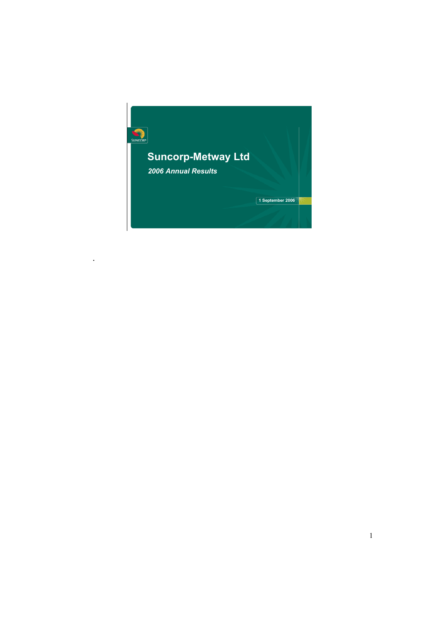

.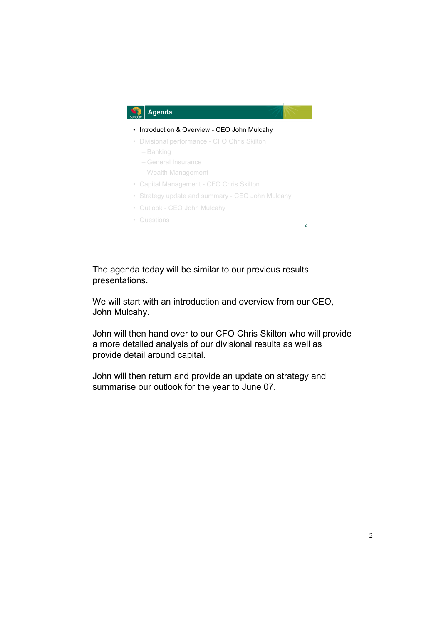

The agenda today will be similar to our previous results presentations.

We will start with an introduction and overview from our CEO, John Mulcahy.

John will then hand over to our CFO Chris Skilton who will provide a more detailed analysis of our divisional results as well as provide detail around capital.

John will then return and provide an update on strategy and summarise our outlook for the year to June 07.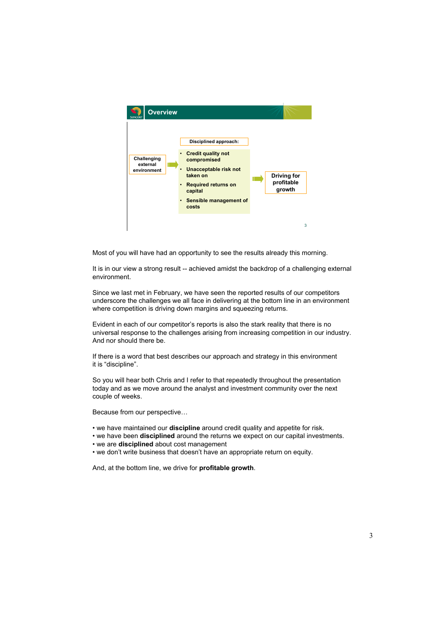

Most of you will have had an opportunity to see the results already this morning.

It is in our view a strong result -- achieved amidst the backdrop of a challenging external environment.

Since we last met in February, we have seen the reported results of our competitors underscore the challenges we all face in delivering at the bottom line in an environment where competition is driving down margins and squeezing returns.

Evident in each of our competitor's reports is also the stark reality that there is no universal response to the challenges arising from increasing competition in our industry. And nor should there be.

If there is a word that best describes our approach and strategy in this environment it is "discipline".

So you will hear both Chris and I refer to that repeatedly throughout the presentation today and as we move around the analyst and investment community over the next couple of weeks.

Because from our perspective…

- we have maintained our **discipline** around credit quality and appetite for risk.
- we have been **disciplined** around the returns we expect on our capital investments.
- we are **disciplined** about cost management
- we don't write business that doesn't have an appropriate return on equity.

And, at the bottom line, we drive for **profitable growth**.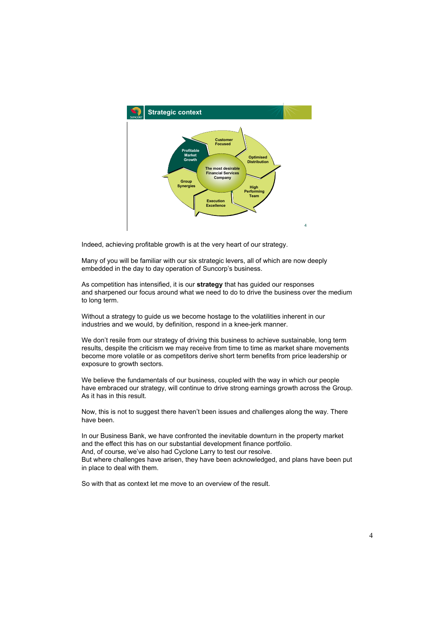

Indeed, achieving profitable growth is at the very heart of our strategy.

Many of you will be familiar with our six strategic levers, all of which are now deeply embedded in the day to day operation of Suncorp's business.

As competition has intensified, it is our **strategy** that has guided our responses and sharpened our focus around what we need to do to drive the business over the medium to long term.

Without a strategy to guide us we become hostage to the volatilities inherent in our industries and we would, by definition, respond in a knee-jerk manner.

We don't resile from our strategy of driving this business to achieve sustainable, long term results, despite the criticism we may receive from time to time as market share movements become more volatile or as competitors derive short term benefits from price leadership or exposure to growth sectors.

We believe the fundamentals of our business, coupled with the way in which our people have embraced our strategy, will continue to drive strong earnings growth across the Group. As it has in this result.

Now, this is not to suggest there haven't been issues and challenges along the way. There have been.

In our Business Bank, we have confronted the inevitable downturn in the property market and the effect this has on our substantial development finance portfolio. And, of course, we've also had Cyclone Larry to test our resolve. But where challenges have arisen, they have been acknowledged, and plans have been put in place to deal with them.

So with that as context let me move to an overview of the result.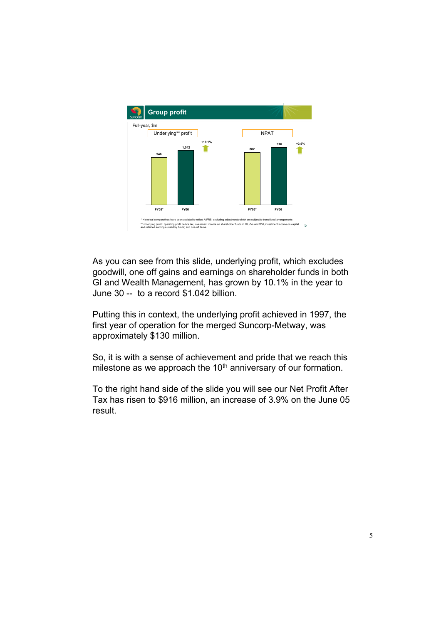

As you can see from this slide, underlying profit, which excludes goodwill, one off gains and earnings on shareholder funds in both GI and Wealth Management, has grown by 10.1% in the year to June 30 -- to a record \$1.042 billion.

Putting this in context, the underlying profit achieved in 1997, the first year of operation for the merged Suncorp-Metway, was approximately \$130 million.

So, it is with a sense of achievement and pride that we reach this milestone as we approach the  $10<sup>th</sup>$  anniversary of our formation.

To the right hand side of the slide you will see our Net Profit After Tax has risen to \$916 million, an increase of 3.9% on the June 05 result.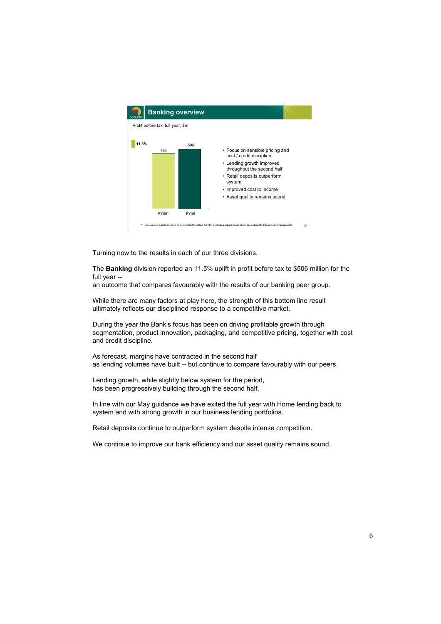

Turning now to the results in each of our three divisions.

The **Banking** division reported an 11.5% uplift in profit before tax to \$506 million for the full year --

an outcome that compares favourably with the results of our banking peer group.

While there are many factors at play here, the strength of this bottom line result ultimately reflects our disciplined response to a competitive market.

During the year the Bank's focus has been on driving profitable growth through segmentation, product innovation, packaging, and competitive pricing, together with cost and credit discipline.

As forecast, margins have contracted in the second half as lending volumes have built -- but continue to compare favourably with our peers.

Lending growth, while slightly below system for the period, has been progressively building through the second half.

In line with our May guidance we have exited the full year with Home lending back to system and with strong growth in our business lending portfolios.

Retail deposits continue to outperform system despite intense competition.

We continue to improve our bank efficiency and our asset quality remains sound.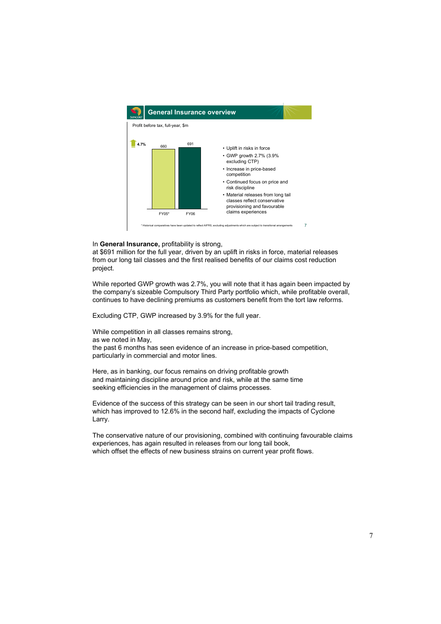

In **General Insurance,** profitability is strong,

at \$691 million for the full year, driven by an uplift in risks in force, material releases from our long tail classes and the first realised benefits of our claims cost reduction project.

While reported GWP growth was 2.7%, you will note that it has again been impacted by the company's sizeable Compulsory Third Party portfolio which, while profitable overall, continues to have declining premiums as customers benefit from the tort law reforms.

Excluding CTP, GWP increased by 3.9% for the full year.

While competition in all classes remains strong,

as we noted in May,

the past 6 months has seen evidence of an increase in price-based competition, particularly in commercial and motor lines.

Here, as in banking, our focus remains on driving profitable growth and maintaining discipline around price and risk, while at the same time seeking efficiencies in the management of claims processes.

Evidence of the success of this strategy can be seen in our short tail trading result, which has improved to 12.6% in the second half, excluding the impacts of Cyclone Larry.

The conservative nature of our provisioning, combined with continuing favourable claims experiences, has again resulted in releases from our long tail book, which offset the effects of new business strains on current year profit flows.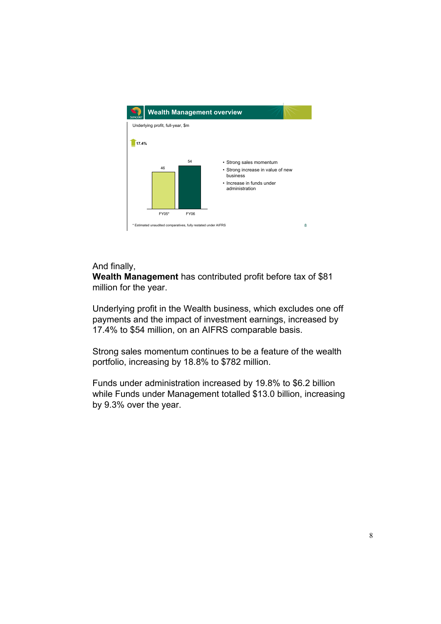

## And finally,

**Wealth Management** has contributed profit before tax of \$81 million for the year.

Underlying profit in the Wealth business, which excludes one off payments and the impact of investment earnings, increased by 17.4% to \$54 million, on an AIFRS comparable basis.

Strong sales momentum continues to be a feature of the wealth portfolio, increasing by 18.8% to \$782 million.

Funds under administration increased by 19.8% to \$6.2 billion while Funds under Management totalled \$13.0 billion, increasing by 9.3% over the year.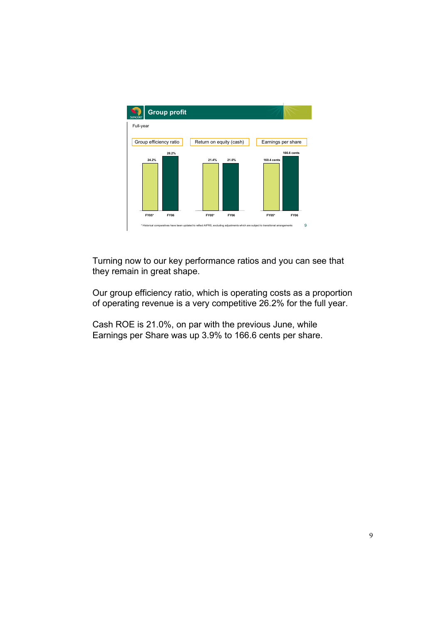

Turning now to our key performance ratios and you can see that they remain in great shape.

Our group efficiency ratio, which is operating costs as a proportion of operating revenue is a very competitive 26.2% for the full year.

Cash ROE is 21.0%, on par with the previous June, while Earnings per Share was up 3.9% to 166.6 cents per share.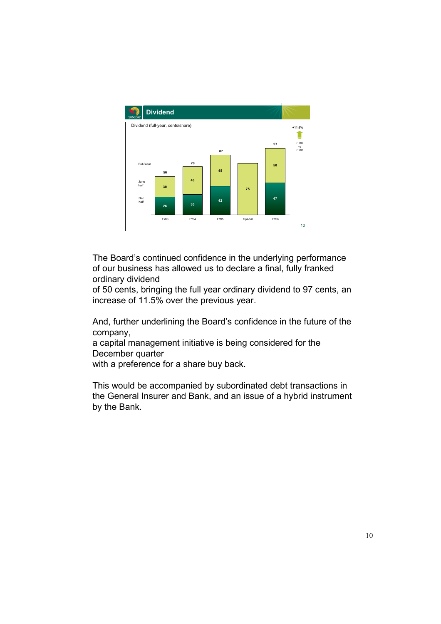

The Board's continued confidence in the underlying performance of our business has allowed us to declare a final, fully franked ordinary dividend

of 50 cents, bringing the full year ordinary dividend to 97 cents, an increase of 11.5% over the previous year.

And, further underlining the Board's confidence in the future of the company,

a capital management initiative is being considered for the December quarter

with a preference for a share buy back.

This would be accompanied by subordinated debt transactions in the General Insurer and Bank, and an issue of a hybrid instrument by the Bank.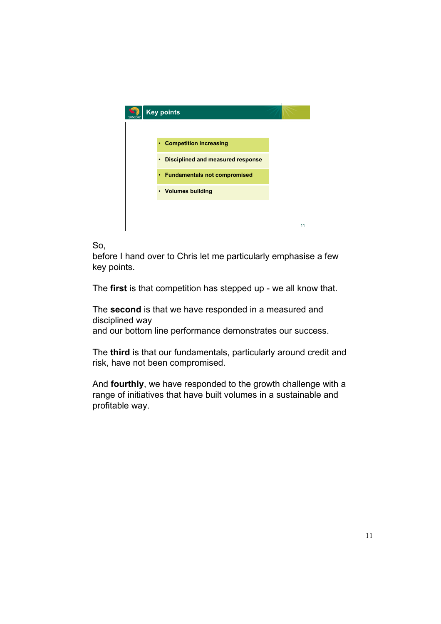

So,

before I hand over to Chris let me particularly emphasise a few key points.

The **first** is that competition has stepped up - we all know that.

The **second** is that we have responded in a measured and disciplined way

and our bottom line performance demonstrates our success.

The **third** is that our fundamentals, particularly around credit and risk, have not been compromised.

And **fourthly**, we have responded to the growth challenge with a range of initiatives that have built volumes in a sustainable and profitable way.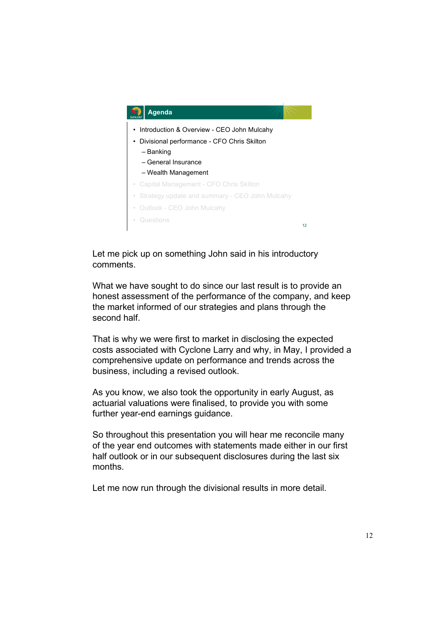

Let me pick up on something John said in his introductory comments.

What we have sought to do since our last result is to provide an honest assessment of the performance of the company, and keep the market informed of our strategies and plans through the second half

That is why we were first to market in disclosing the expected costs associated with Cyclone Larry and why, in May, I provided a comprehensive update on performance and trends across the business, including a revised outlook.

As you know, we also took the opportunity in early August, as actuarial valuations were finalised, to provide you with some further year-end earnings guidance.

So throughout this presentation you will hear me reconcile many of the year end outcomes with statements made either in our first half outlook or in our subsequent disclosures during the last six months.

Let me now run through the divisional results in more detail.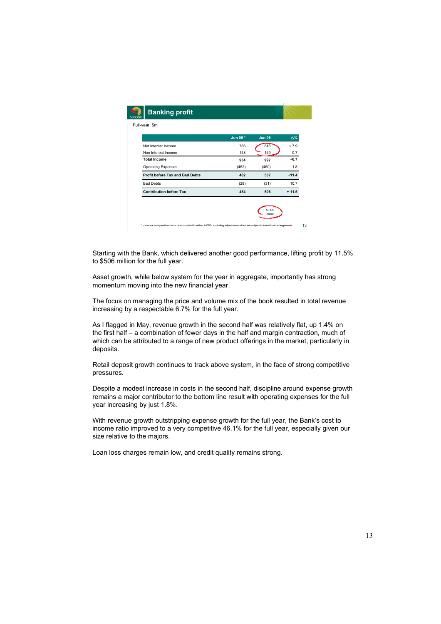|                                        | Jun 05* | <b>Jun 06</b> | Δ%      |
|----------------------------------------|---------|---------------|---------|
| Net Interest Income                    | 786     | 848           | $+7.9$  |
| Non Interest Income                    | 148     | 149           | 0.7     |
| <b>Total Income</b>                    | 934     | 997           | $+6.7$  |
| <b>Operating Expenses</b>              | (452)   | (460)         | 1.8     |
| <b>Profit before Tax and Bad Debts</b> | 482     | 537           | $+11.4$ |
| <b>Bad Debts</b>                       | (28)    | (31)          | 10.7    |
| <b>Contribution before Tax</b>         | 454     | 506           | $+11.5$ |

Starting with the Bank, which delivered another good performance, lifting profit by 11.5% to \$506 million for the full year.

Asset growth, while below system for the year in aggregate, importantly has strong momentum moving into the new financial year.

The focus on managing the price and volume mix of the book resulted in total revenue increasing by a respectable 6.7% for the full year.

As I flagged in May, revenue growth in the second half was relatively flat, up 1.4% on the first half – a combination of fewer days in the half and margin contraction, much of which can be attributed to a range of new product offerings in the market, particularly in deposits.

Retail deposit growth continues to track above system, in the face of strong competitive pressures.

Despite a modest increase in costs in the second half, discipline around expense growth remains a major contributor to the bottom line result with operating expenses for the full year increasing by just 1.8%.

With revenue growth outstripping expense growth for the full year, the Bank's cost to income ratio improved to a very competitive 46.1% for the full year, especially given our size relative to the majors.

Loan loss charges remain low, and credit quality remains strong.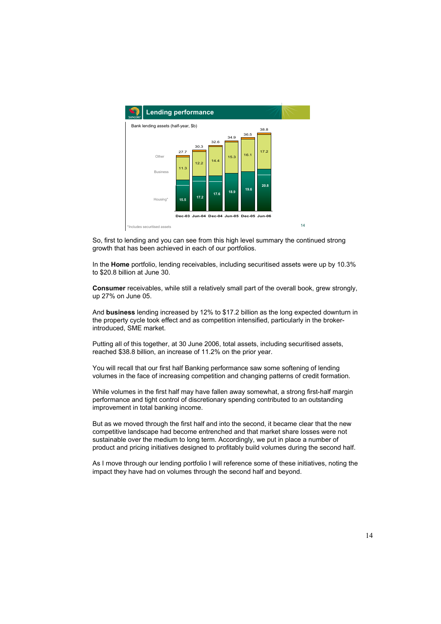

So, first to lending and you can see from this high level summary the continued strong growth that has been achieved in each of our portfolios.

In the **Home** portfolio, lending receivables, including securitised assets were up by 10.3% to \$20.8 billion at June 30.

**Consumer** receivables, while still a relatively small part of the overall book, grew strongly, up 27% on June 05.

And **business** lending increased by 12% to \$17.2 billion as the long expected downturn in the property cycle took effect and as competition intensified, particularly in the brokerintroduced, SME market.

Putting all of this together, at 30 June 2006, total assets, including securitised assets, reached \$38.8 billion, an increase of 11.2% on the prior year.

You will recall that our first half Banking performance saw some softening of lending volumes in the face of increasing competition and changing patterns of credit formation.

While volumes in the first half may have fallen away somewhat, a strong first-half margin performance and tight control of discretionary spending contributed to an outstanding improvement in total banking income.

But as we moved through the first half and into the second, it became clear that the new competitive landscape had become entrenched and that market share losses were not sustainable over the medium to long term. Accordingly, we put in place a number of product and pricing initiatives designed to profitably build volumes during the second half.

As I move through our lending portfolio I will reference some of these initiatives, noting the impact they have had on volumes through the second half and beyond.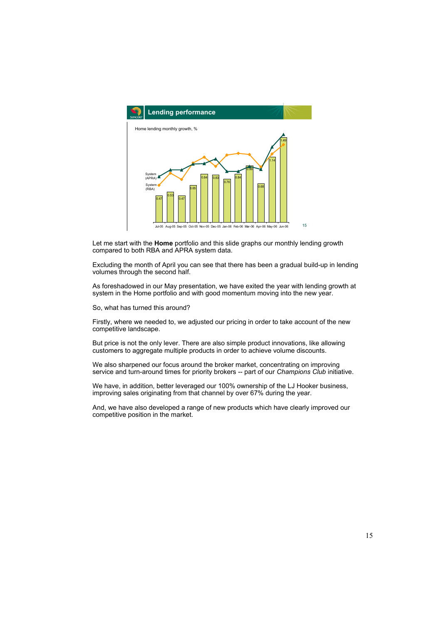

Let me start with the **Home** portfolio and this slide graphs our monthly lending growth compared to both RBA and APRA system data.

Excluding the month of April you can see that there has been a gradual build-up in lending volumes through the second half.

As foreshadowed in our May presentation, we have exited the year with lending growth at system in the Home portfolio and with good momentum moving into the new year.

So, what has turned this around?

Firstly, where we needed to, we adjusted our pricing in order to take account of the new competitive landscape.

But price is not the only lever. There are also simple product innovations, like allowing customers to aggregate multiple products in order to achieve volume discounts.

We also sharpened our focus around the broker market, concentrating on improving service and turn-around times for priority brokers -- part of our *Champions Club* initiative.

We have, in addition, better leveraged our 100% ownership of the LJ Hooker business, improving sales originating from that channel by over 67% during the year.

And, we have also developed a range of new products which have clearly improved our competitive position in the market.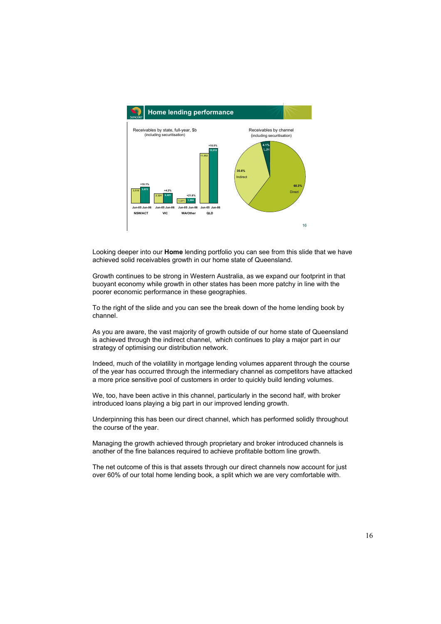

Looking deeper into our **Home** lending portfolio you can see from this slide that we have achieved solid receivables growth in our home state of Queensland.

Growth continues to be strong in Western Australia, as we expand our footprint in that buoyant economy while growth in other states has been more patchy in line with the poorer economic performance in these geographies.

To the right of the slide and you can see the break down of the home lending book by channel.

As you are aware, the vast majority of growth outside of our home state of Queensland is achieved through the indirect channel, which continues to play a major part in our strategy of optimising our distribution network.

Indeed, much of the volatility in mortgage lending volumes apparent through the course of the year has occurred through the intermediary channel as competitors have attacked a more price sensitive pool of customers in order to quickly build lending volumes.

We, too, have been active in this channel, particularly in the second half, with broker introduced loans playing a big part in our improved lending growth.

Underpinning this has been our direct channel, which has performed solidly throughout the course of the year.

Managing the growth achieved through proprietary and broker introduced channels is another of the fine balances required to achieve profitable bottom line growth.

The net outcome of this is that assets through our direct channels now account for just over 60% of our total home lending book, a split which we are very comfortable with.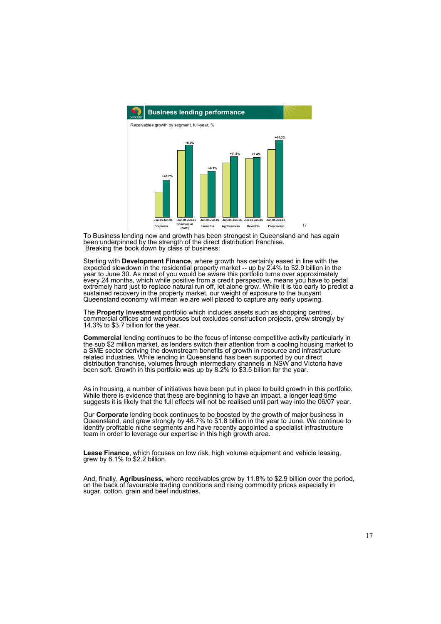

To Business lending now and growth has been strongest in Queensland and has again been underpinned by the strength of the direct distribution franchise. Breaking the book down by class of business:

Starting with **Development Finance**, where growth has certainly eased in line with the expected slowdown in the residential property market -- up by 2.4% to \$2.9 billion in the year to June 30. As most of you would be aware this portfolio turns over approximately every 24 months, which while positive from a credit perspective, means you have to pedal extremely hard just to replace natural run off, let alone grow. While it is too early to predict a sustained recovery in the property market, our weight of exposure to the buoyant Queensland economy will mean we are well placed to capture any early upswing.

The **Property Investment** portfolio which includes assets such as shopping centres, commercial offices and warehouses but excludes construction projects, grew strongly by 14.3% to \$3.7 billion for the year.

**Commercial** lending continues to be the focus of intense competitive activity particularly in the sub \$2 million market, as lenders switch their attention from a cooling housing market to a SME sector deriving the downstream benefits of growth in resource and infrastructure related industries. While lending in Queensland has been supported by our direct distribution franchise, volumes through intermediary channels in NSW and Victoria have been soft. Growth in this portfolio was up by 8.2% to \$3.5 billion for the year.

As in housing, a number of initiatives have been put in place to build growth in this portfolio. While there is evidence that these are beginning to have an impact, a longer lead time suggests it is likely that the full effects will not be realised until part way into the 06/07 year.

Our **Corporate** lending book continues to be boosted by the growth of major business in Queensland, and grew strongly by 48.7% to \$1.8 billion in the year to June. We continue to identify profitable niche segments and have recently appointed a specialist infrastructure team in order to leverage our expertise in this high growth area.

**Lease Finance**, which focuses on low risk, high volume equipment and vehicle leasing, grew by 6.1% to \$2.2 billion.

And, finally, **Agribusiness,** where receivables grew by 11.8% to \$2.9 billion over the period, on the back of favourable trading conditions and rising commodity prices especially in sugar, cotton, grain and beef industries.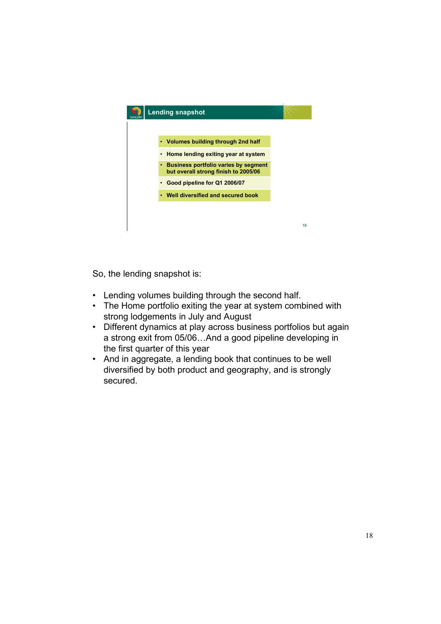

So, the lending snapshot is:

- Lending volumes building through the second half.
- The Home portfolio exiting the year at system combined with strong lodgements in July and August
- Different dynamics at play across business portfolios but again a strong exit from 05/06…And a good pipeline developing in the first quarter of this year
- And in aggregate, a lending book that continues to be well diversified by both product and geography, and is strongly secured.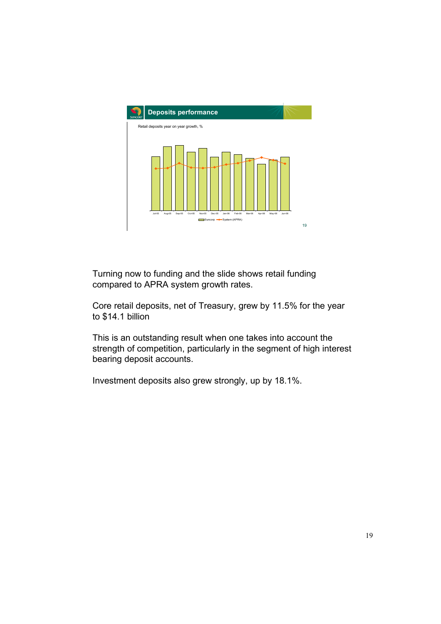

Turning now to funding and the slide shows retail funding compared to APRA system growth rates.

Core retail deposits, net of Treasury, grew by 11.5% for the year to \$14.1 billion

This is an outstanding result when one takes into account the strength of competition, particularly in the segment of high interest bearing deposit accounts.

Investment deposits also grew strongly, up by 18.1%.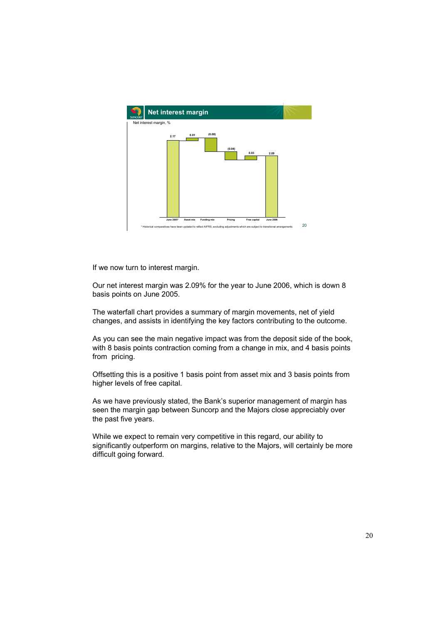

If we now turn to interest margin.

Our net interest margin was 2.09% for the year to June 2006, which is down 8 basis points on June 2005.

The waterfall chart provides a summary of margin movements, net of yield changes, and assists in identifying the key factors contributing to the outcome.

As you can see the main negative impact was from the deposit side of the book, with 8 basis points contraction coming from a change in mix, and 4 basis points from pricing.

Offsetting this is a positive 1 basis point from asset mix and 3 basis points from higher levels of free capital.

As we have previously stated, the Bank's superior management of margin has seen the margin gap between Suncorp and the Majors close appreciably over the past five years.

While we expect to remain very competitive in this regard, our ability to significantly outperform on margins, relative to the Majors, will certainly be more difficult going forward.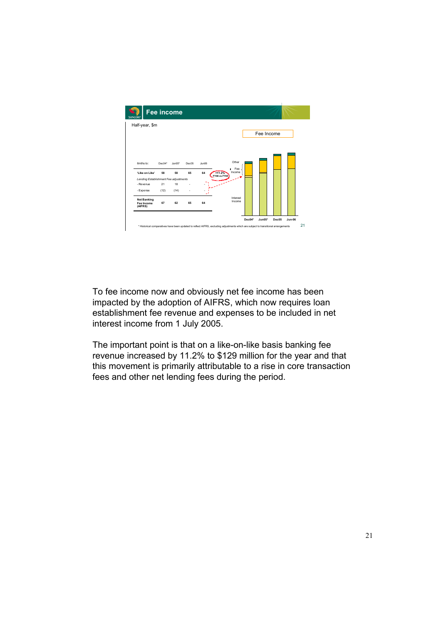

To fee income now and obviously net fee income has been impacted by the adoption of AIFRS, which now requires loan establishment fee revenue and expenses to be included in net interest income from 1 July 2005.

The important point is that on a like-on-like basis banking fee revenue increased by 11.2% to \$129 million for the year and that this movement is primarily attributable to a rise in core transaction fees and other net lending fees during the period.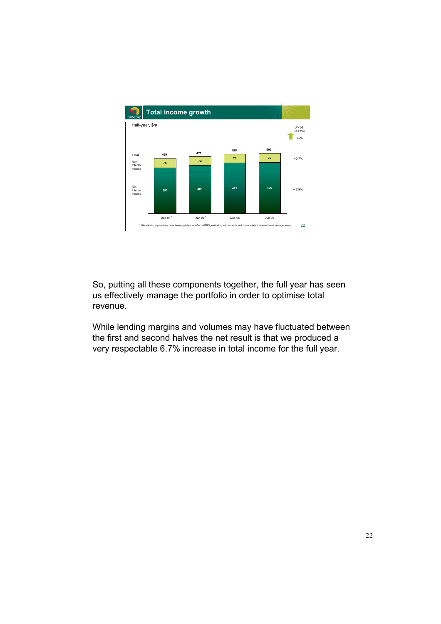

So, putting all these components together, the full year has seen us effectively manage the portfolio in order to optimise total revenue.

While lending margins and volumes may have fluctuated between the first and second halves the net result is that we produced a very respectable 6.7% increase in total income for the full year.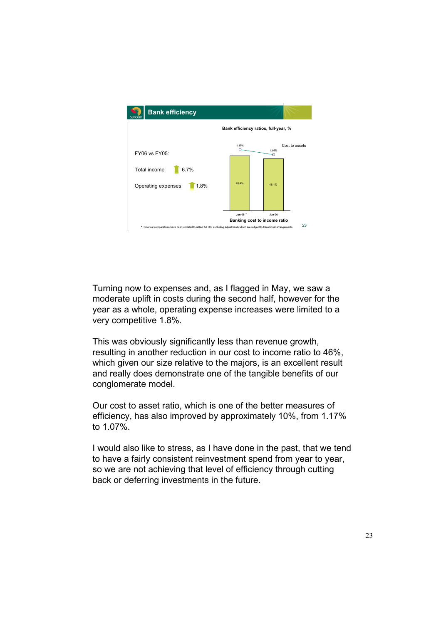

Turning now to expenses and, as I flagged in May, we saw a moderate uplift in costs during the second half, however for the year as a whole, operating expense increases were limited to a very competitive 1.8%.

This was obviously significantly less than revenue growth, resulting in another reduction in our cost to income ratio to 46%, which given our size relative to the majors, is an excellent result and really does demonstrate one of the tangible benefits of our conglomerate model.

Our cost to asset ratio, which is one of the better measures of efficiency, has also improved by approximately 10%, from 1.17% to 1.07%.

I would also like to stress, as I have done in the past, that we tend to have a fairly consistent reinvestment spend from year to year, so we are not achieving that level of efficiency through cutting back or deferring investments in the future.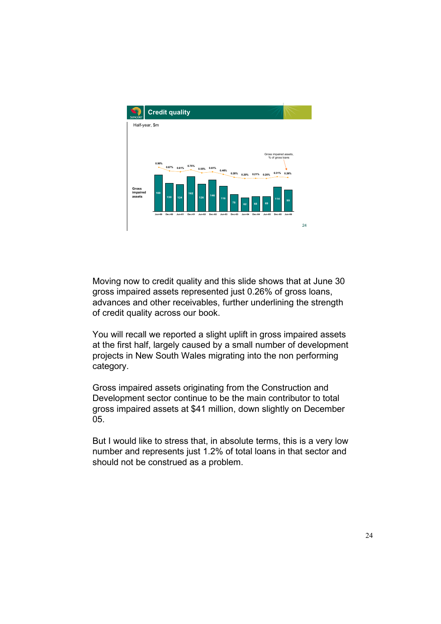

Moving now to credit quality and this slide shows that at June 30 gross impaired assets represented just 0.26% of gross loans, advances and other receivables, further underlining the strength of credit quality across our book.

You will recall we reported a slight uplift in gross impaired assets at the first half, largely caused by a small number of development projects in New South Wales migrating into the non performing category.

Gross impaired assets originating from the Construction and Development sector continue to be the main contributor to total gross impaired assets at \$41 million, down slightly on December 05.

But I would like to stress that, in absolute terms, this is a very low number and represents just 1.2% of total loans in that sector and should not be construed as a problem.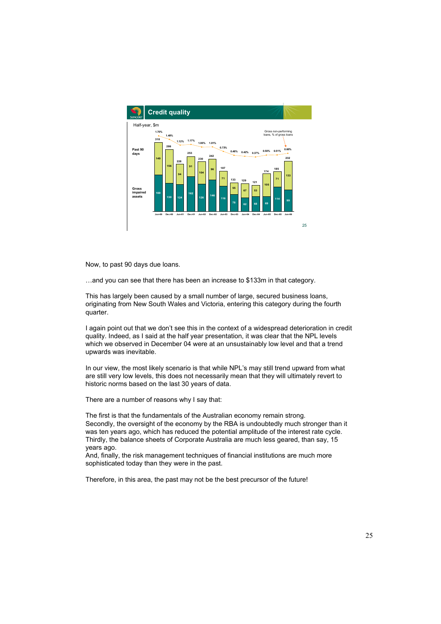

Now, to past 90 days due loans.

…and you can see that there has been an increase to \$133m in that category.

This has largely been caused by a small number of large, secured business loans, originating from New South Wales and Victoria, entering this category during the fourth quarter.

I again point out that we don't see this in the context of a widespread deterioration in credit quality. Indeed, as I said at the half year presentation, it was clear that the NPL levels which we observed in December 04 were at an unsustainably low level and that a trend upwards was inevitable.

In our view, the most likely scenario is that while NPL's may still trend upward from what are still very low levels, this does not necessarily mean that they will ultimately revert to historic norms based on the last 30 years of data.

There are a number of reasons why I say that:

The first is that the fundamentals of the Australian economy remain strong. Secondly, the oversight of the economy by the RBA is undoubtedly much stronger than it was ten years ago, which has reduced the potential amplitude of the interest rate cycle. Thirdly, the balance sheets of Corporate Australia are much less geared, than say, 15 years ago.

And, finally, the risk management techniques of financial institutions are much more sophisticated today than they were in the past.

Therefore, in this area, the past may not be the best precursor of the future!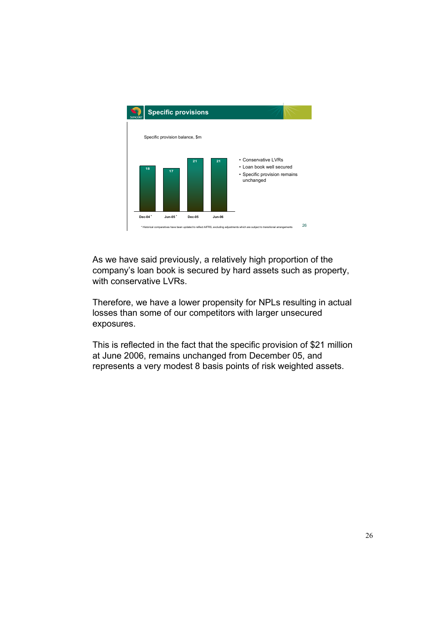

As we have said previously, a relatively high proportion of the company's loan book is secured by hard assets such as property, with conservative LVRs.

Therefore, we have a lower propensity for NPLs resulting in actual losses than some of our competitors with larger unsecured exposures.

This is reflected in the fact that the specific provision of \$21 million at June 2006, remains unchanged from December 05, and represents a very modest 8 basis points of risk weighted assets.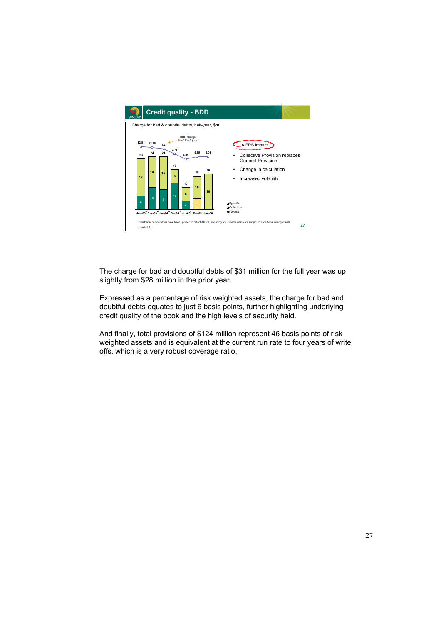

The charge for bad and doubtful debts of \$31 million for the full year was up slightly from \$28 million in the prior year.

Expressed as a percentage of risk weighted assets, the charge for bad and doubtful debts equates to just 6 basis points, further highlighting underlying credit quality of the book and the high levels of security held.

And finally, total provisions of \$124 million represent 46 basis points of risk weighted assets and is equivalent at the current run rate to four years of write offs, which is a very robust coverage ratio.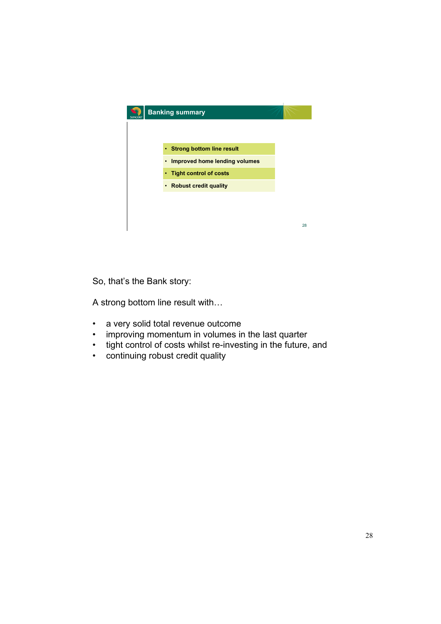

So, that's the Bank story:

A strong bottom line result with…

- a very solid total revenue outcome
- improving momentum in volumes in the last quarter
- tight control of costs whilst re-investing in the future, and
- continuing robust credit quality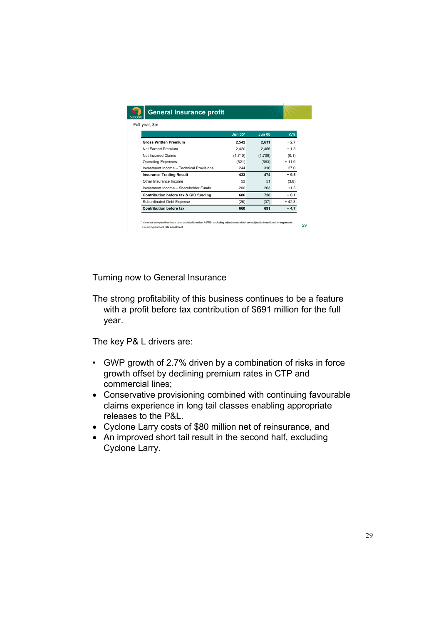| Full-year, \$m                           |           |               |         |
|------------------------------------------|-----------|---------------|---------|
|                                          | $Jun 05*$ | <b>Jun 06</b> | ∆%      |
| <b>Gross Written Premium</b>             | 2.542     | 2.611         | $+2.7$  |
| Net Farned Premium                       | 2.420     | 2.456         | $+1.5$  |
| Net Incurred Claims                      | (1,710)   | (1,709)       | (0.1)   |
| <b>Operating Expenses</b>                | (521)     | (583)         | $+119$  |
| Investment Income - Technical Provisions | 244       | 310           | 27.0    |
| <b>Insurance Trading Result</b>          | 433       | 474           | $+9.5$  |
| Other Insurance Income                   | 53        | 51            | (3.8)   |
| Investment Income - Shareholder Funds    | 200       | 203           | $+1.5$  |
| Contribution before tax & GIO funding    | 686       | 728           | $+6.1$  |
| Subordinated Debt Expense                | (26)      | (37)          | $+42.3$ |
| <b>Contribution before tax</b>           | 660       | 691           | $+4.7$  |

Turning now to General Insurance

The strong profitability of this business continues to be a feature with a profit before tax contribution of \$691 million for the full year.

The key P& L drivers are:

- GWP growth of 2.7% driven by a combination of risks in force growth offset by declining premium rates in CTP and commercial lines;
- Conservative provisioning combined with continuing favourable claims experience in long tail classes enabling appropriate releases to the P&L.
- Cyclone Larry costs of \$80 million net of reinsurance, and
- An improved short tail result in the second half, excluding Cyclone Larry.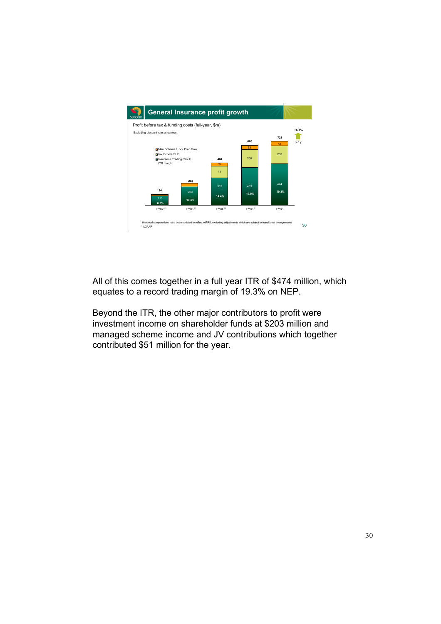

All of this comes together in a full year ITR of \$474 million, which equates to a record trading margin of 19.3% on NEP.

Beyond the ITR, the other major contributors to profit were investment income on shareholder funds at \$203 million and managed scheme income and JV contributions which together contributed \$51 million for the year.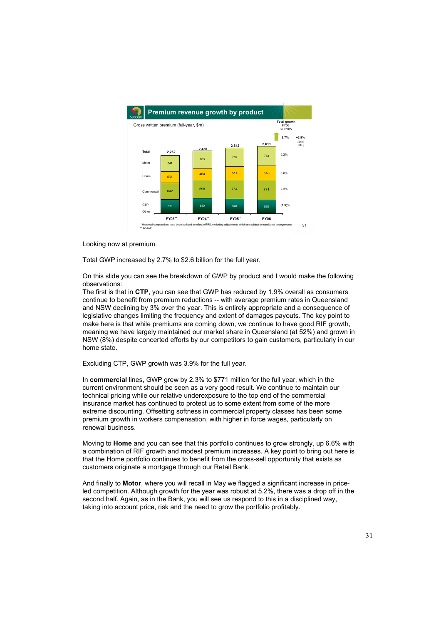

Looking now at premium.

Total GWP increased by 2.7% to \$2.6 billion for the full year.

On this slide you can see the breakdown of GWP by product and I would make the following observations:

The first is that in **CTP**, you can see that GWP has reduced by 1.9% overall as consumers continue to benefit from premium reductions -- with average premium rates in Queensland and NSW declining by 3% over the year. This is entirely appropriate and a consequence of legislative changes limiting the frequency and extent of damages payouts. The key point to make here is that while premiums are coming down, we continue to have good RIF growth, meaning we have largely maintained our market share in Queensland (at 52%) and grown in NSW (8%) despite concerted efforts by our competitors to gain customers, particularly in our home state.

Excluding CTP, GWP growth was 3.9% for the full year.

In **commercial** lines, GWP grew by 2.3% to \$771 million for the full year, which in the current environment should be seen as a very good result. We continue to maintain our technical pricing while our relative underexposure to the top end of the commercial insurance market has continued to protect us to some extent from some of the more extreme discounting. Offsetting softness in commercial property classes has been some premium growth in workers compensation, with higher in force wages, particularly on renewal business.

Moving to **Home** and you can see that this portfolio continues to grow strongly, up 6.6% with a combination of RIF growth and modest premium increases. A key point to bring out here is that the Home portfolio continues to benefit from the cross-sell opportunity that exists as customers originate a mortgage through our Retail Bank.

And finally to **Motor**, where you will recall in May we flagged a significant increase in priceled competition. Although growth for the year was robust at 5.2%, there was a drop off in the second half. Again, as in the Bank, you will see us respond to this in a disciplined way, taking into account price, risk and the need to grow the portfolio profitably.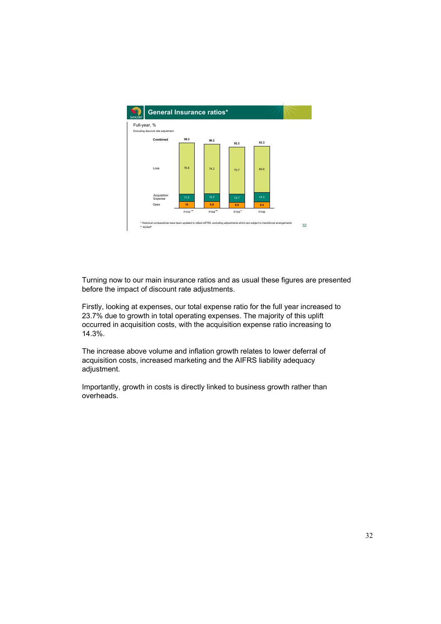

Turning now to our main insurance ratios and as usual these figures are presented before the impact of discount rate adjustments.

Firstly, looking at expenses, our total expense ratio for the full year increased to 23.7% due to growth in total operating expenses. The majority of this uplift occurred in acquisition costs, with the acquisition expense ratio increasing to 14.3%.

The increase above volume and inflation growth relates to lower deferral of acquisition costs, increased marketing and the AIFRS liability adequacy adjustment.

Importantly, growth in costs is directly linked to business growth rather than overheads.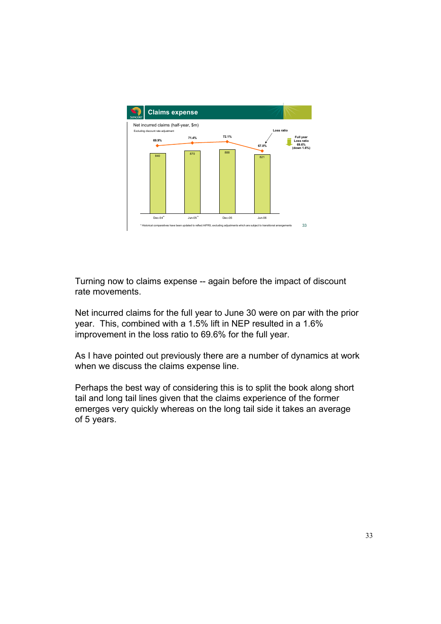

Turning now to claims expense -- again before the impact of discount rate movements.

Net incurred claims for the full year to June 30 were on par with the prior year. This, combined with a 1.5% lift in NEP resulted in a 1.6% improvement in the loss ratio to 69.6% for the full year.

As I have pointed out previously there are a number of dynamics at work when we discuss the claims expense line.

Perhaps the best way of considering this is to split the book along short tail and long tail lines given that the claims experience of the former emerges very quickly whereas on the long tail side it takes an average of 5 years.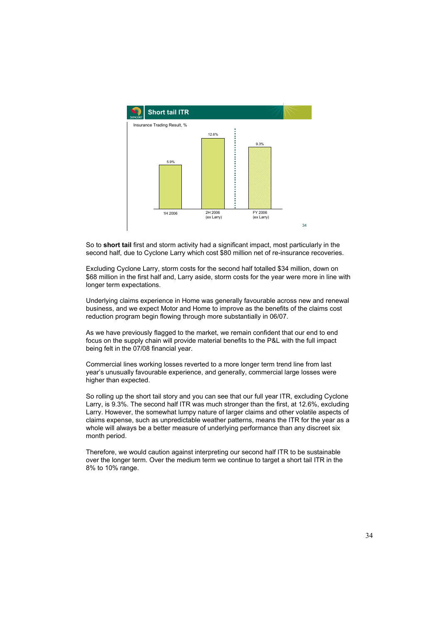

So to **short tail** first and storm activity had a significant impact, most particularly in the second half, due to Cyclone Larry which cost \$80 million net of re-insurance recoveries.

Excluding Cyclone Larry, storm costs for the second half totalled \$34 million, down on \$68 million in the first half and, Larry aside, storm costs for the year were more in line with longer term expectations.

Underlying claims experience in Home was generally favourable across new and renewal business, and we expect Motor and Home to improve as the benefits of the claims cost reduction program begin flowing through more substantially in 06/07.

As we have previously flagged to the market, we remain confident that our end to end focus on the supply chain will provide material benefits to the P&L with the full impact being felt in the 07/08 financial year.

Commercial lines working losses reverted to a more longer term trend line from last year's unusually favourable experience, and generally, commercial large losses were higher than expected.

So rolling up the short tail story and you can see that our full year ITR, excluding Cyclone Larry, is 9.3%. The second half ITR was much stronger than the first, at 12.6%, excluding Larry. However, the somewhat lumpy nature of larger claims and other volatile aspects of claims expense, such as unpredictable weather patterns, means the ITR for the year as a whole will always be a better measure of underlying performance than any discreet six month period.

Therefore, we would caution against interpreting our second half ITR to be sustainable over the longer term. Over the medium term we continue to target a short tail ITR in the 8% to 10% range.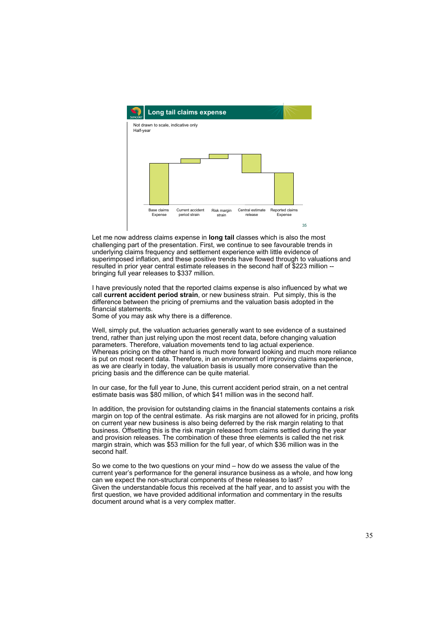

Let me now address claims expense in **long tail** classes which is also the most challenging part of the presentation. First, we continue to see favourable trends in underlying claims frequency and settlement experience with little evidence of superimposed inflation, and these positive trends have flowed through to valuations and resulted in prior year central estimate releases in the second half of \$223 million - bringing full year releases to \$337 million.

I have previously noted that the reported claims expense is also influenced by what we call **current accident period strain**, or new business strain. Put simply, this is the difference between the pricing of premiums and the valuation basis adopted in the financial statements.

Some of you may ask why there is a difference.

Well, simply put, the valuation actuaries generally want to see evidence of a sustained trend, rather than just relying upon the most recent data, before changing valuation parameters. Therefore, valuation movements tend to lag actual experience. Whereas pricing on the other hand is much more forward looking and much more reliance is put on most recent data. Therefore, in an environment of improving claims experience, as we are clearly in today, the valuation basis is usually more conservative than the pricing basis and the difference can be quite material.

In our case, for the full year to June, this current accident period strain, on a net central estimate basis was \$80 million, of which \$41 million was in the second half.

In addition, the provision for outstanding claims in the financial statements contains a risk margin on top of the central estimate. As risk margins are not allowed for in pricing, profits on current year new business is also being deferred by the risk margin relating to that business. Offsetting this is the risk margin released from claims settled during the year and provision releases. The combination of these three elements is called the net risk margin strain, which was \$53 million for the full year, of which \$36 million was in the second half.

So we come to the two questions on your mind – how do we assess the value of the current year's performance for the general insurance business as a whole, and how long can we expect the non-structural components of these releases to last? Given the understandable focus this received at the half year, and to assist you with the first question, we have provided additional information and commentary in the results document around what is a very complex matter.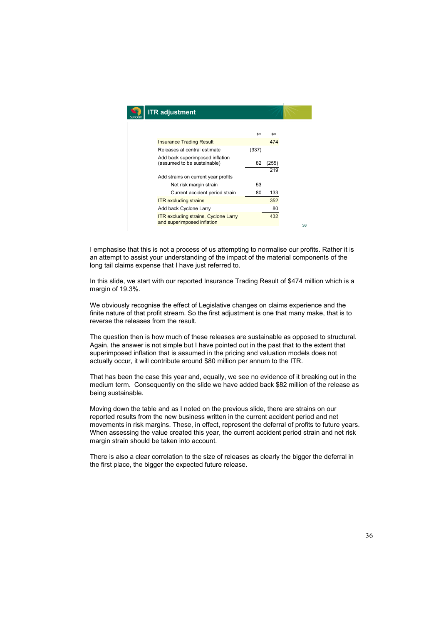| <b>ITR</b> adjustment                                                     |       |            |    |
|---------------------------------------------------------------------------|-------|------------|----|
|                                                                           |       |            |    |
| <b>Insurance Trading Result</b>                                           | \$m   | \$m<br>474 |    |
| Releases at central estimate                                              | (337) |            |    |
| Add back superimposed inflation<br>(assumed to be sustainable)            | 82    | (255)      |    |
|                                                                           |       | 219        |    |
| Add strains on current year profits                                       |       |            |    |
| Net risk margin strain                                                    | 53    |            |    |
| Current accident period strain                                            | 80    | 133        |    |
| <b>ITR</b> excluding strains                                              |       | 352        |    |
| Add back Cyclone Larry                                                    |       | 80         |    |
| <b>ITR excluding strains, Cyclone Larry</b><br>and superimposed inflation |       | 432        |    |
|                                                                           |       |            | 36 |

I emphasise that this is not a process of us attempting to normalise our profits. Rather it is an attempt to assist your understanding of the impact of the material components of the long tail claims expense that I have just referred to.

In this slide, we start with our reported Insurance Trading Result of \$474 million which is a margin of 19.3%.

We obviously recognise the effect of Legislative changes on claims experience and the finite nature of that profit stream. So the first adjustment is one that many make, that is to reverse the releases from the result.

The question then is how much of these releases are sustainable as opposed to structural. Again, the answer is not simple but I have pointed out in the past that to the extent that superimposed inflation that is assumed in the pricing and valuation models does not actually occur, it will contribute around \$80 million per annum to the ITR.

That has been the case this year and, equally, we see no evidence of it breaking out in the medium term. Consequently on the slide we have added back \$82 million of the release as being sustainable.

Moving down the table and as I noted on the previous slide, there are strains on our reported results from the new business written in the current accident period and net movements in risk margins. These, in effect, represent the deferral of profits to future years. When assessing the value created this year, the current accident period strain and net risk margin strain should be taken into account.

There is also a clear correlation to the size of releases as clearly the bigger the deferral in the first place, the bigger the expected future release.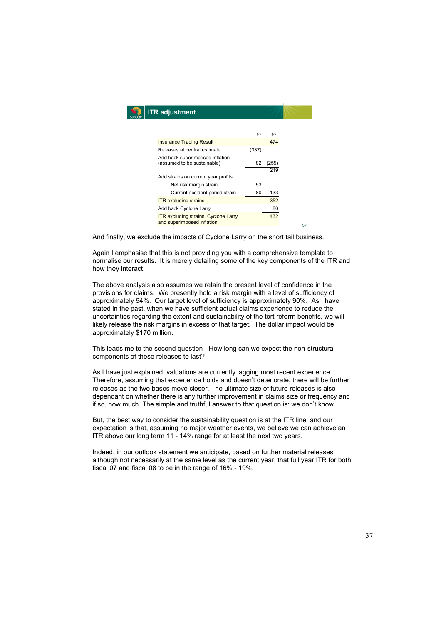| <b>ITR</b> adjustment                                                     |       |       |  |
|---------------------------------------------------------------------------|-------|-------|--|
|                                                                           | \$m   | \$m   |  |
| <b>Insurance Trading Result</b>                                           |       | 474   |  |
| Releases at central estimate                                              | (337) |       |  |
| Add back superimposed inflation<br>(assumed to be sustainable)            | 82    | (255) |  |
|                                                                           |       | 219   |  |
| Add strains on current year profits                                       |       |       |  |
| Net risk margin strain                                                    | 53    |       |  |
| Current accident period strain                                            | 80    | 133   |  |
| <b>ITR</b> excluding strains                                              |       | 352   |  |
| Add back Cyclone Larry                                                    |       | 80    |  |
| <b>ITR excluding strains, Cyclone Larry</b><br>and superimposed inflation |       | 432   |  |
|                                                                           |       |       |  |

And finally, we exclude the impacts of Cyclone Larry on the short tail business.

Again I emphasise that this is not providing you with a comprehensive template to normalise our results. It is merely detailing some of the key components of the ITR and how they interact.

The above analysis also assumes we retain the present level of confidence in the provisions for claims. We presently hold a risk margin with a level of sufficiency of approximately 94%. Our target level of sufficiency is approximately 90%. As I have stated in the past, when we have sufficient actual claims experience to reduce the uncertainties regarding the extent and sustainability of the tort reform benefits, we will likely release the risk margins in excess of that target. The dollar impact would be approximately \$170 million.

This leads me to the second question - How long can we expect the non-structural components of these releases to last?

As I have just explained, valuations are currently lagging most recent experience. Therefore, assuming that experience holds and doesn't deteriorate, there will be further releases as the two bases move closer. The ultimate size of future releases is also dependant on whether there is any further improvement in claims size or frequency and if so, how much. The simple and truthful answer to that question is: we don't know.

But, the best way to consider the sustainability question is at the ITR line, and our expectation is that, assuming no major weather events, we believe we can achieve an ITR above our long term 11 - 14% range for at least the next two years.

Indeed, in our outlook statement we anticipate, based on further material releases, although not necessarily at the same level as the current year, that full year ITR for both fiscal 07 and fiscal 08 to be in the range of 16% - 19%.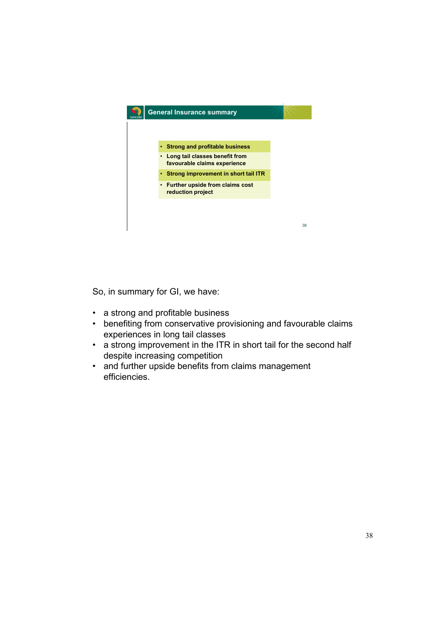

So, in summary for GI, we have:

- a strong and profitable business
- benefiting from conservative provisioning and favourable claims experiences in long tail classes
- a strong improvement in the ITR in short tail for the second half despite increasing competition
- and further upside benefits from claims management efficiencies.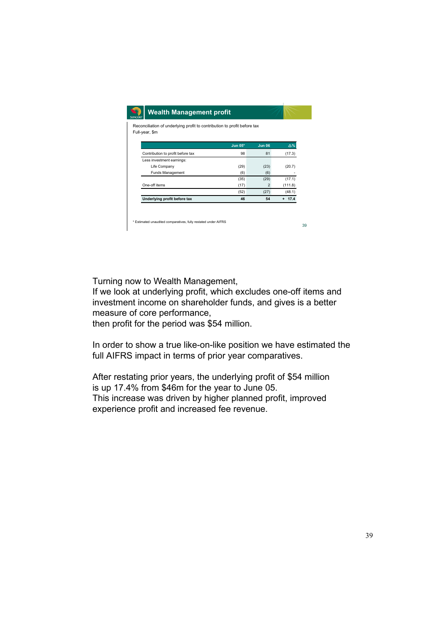| Reconciliation of underlying profit to contribution to profit before tax<br>Full-year, \$m |         |                |            |
|--------------------------------------------------------------------------------------------|---------|----------------|------------|
|                                                                                            |         |                |            |
|                                                                                            | Jun 05* | <b>Jun 06</b>  | $\Delta\%$ |
| Contribution to profit before tax                                                          | 98      | 81             | (17.3)     |
| Less investment earnings:                                                                  |         |                |            |
| Life Company                                                                               | (29)    | (23)           | (20.7)     |
| Funds Management                                                                           | (6)     | (6)            |            |
|                                                                                            | (35)    | (29)           | (17.1)     |
| One-off items                                                                              | (17)    | $\overline{2}$ | (111.8)    |
|                                                                                            | (52)    | (27)           | (48.1)     |
| Underlying profit before tax                                                               | 46      | 54             | $+ 17.4$   |
|                                                                                            |         |                |            |

Turning now to Wealth Management,

If we look at underlying profit, which excludes one-off items and investment income on shareholder funds, and gives is a better measure of core performance,

then profit for the period was \$54 million.

In order to show a true like-on-like position we have estimated the full AIFRS impact in terms of prior year comparatives.

After restating prior years, the underlying profit of \$54 million is up 17.4% from \$46m for the year to June 05. This increase was driven by higher planned profit, improved experience profit and increased fee revenue.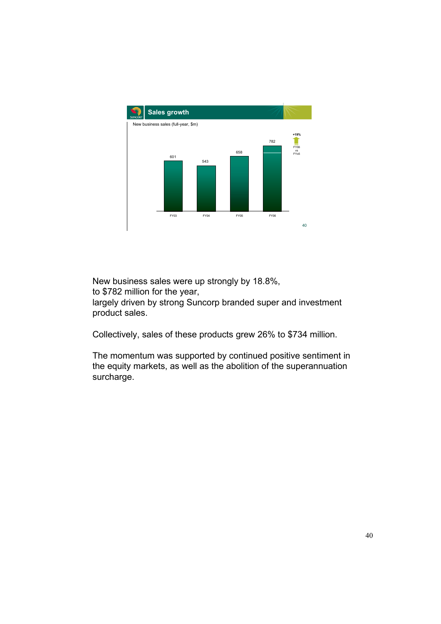

New business sales were up strongly by 18.8%,

to \$782 million for the year,

largely driven by strong Suncorp branded super and investment product sales.

Collectively, sales of these products grew 26% to \$734 million.

The momentum was supported by continued positive sentiment in the equity markets, as well as the abolition of the superannuation surcharge.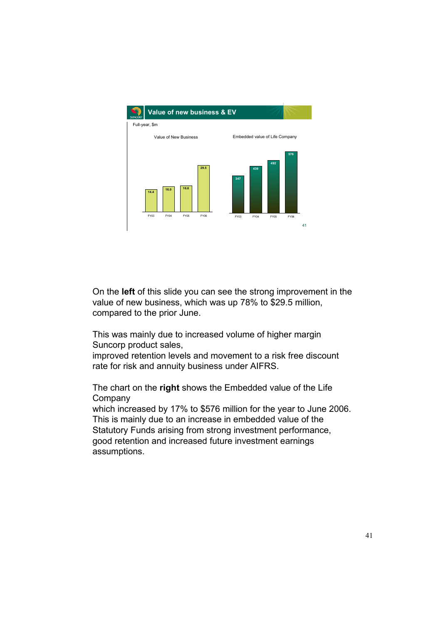

On the **left** of this slide you can see the strong improvement in the value of new business, which was up 78% to \$29.5 million, compared to the prior June.

This was mainly due to increased volume of higher margin Suncorp product sales,

improved retention levels and movement to a risk free discount rate for risk and annuity business under AIFRS.

The chart on the **right** shows the Embedded value of the Life **Company** 

which increased by 17% to \$576 million for the year to June 2006. This is mainly due to an increase in embedded value of the Statutory Funds arising from strong investment performance, good retention and increased future investment earnings assumptions.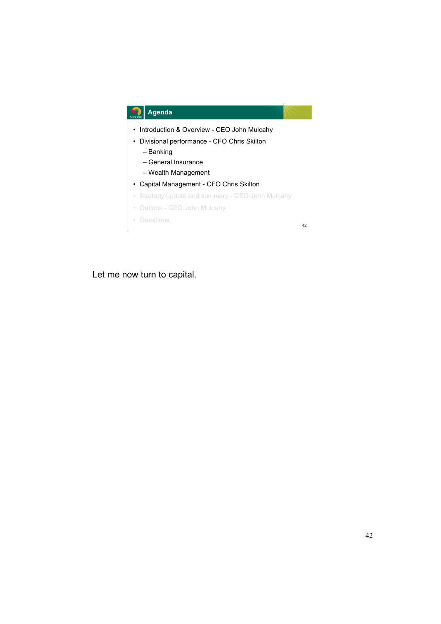

Let me now turn to capital.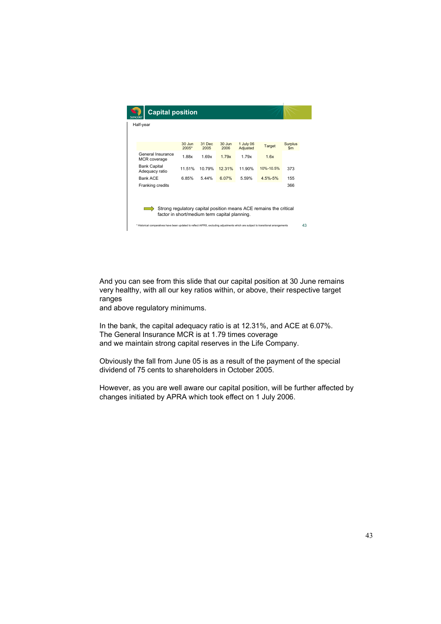| GINGORE                                                                                                                            | <b>Capital position</b> |                     |                |                  |                       |               |                      |  |
|------------------------------------------------------------------------------------------------------------------------------------|-------------------------|---------------------|----------------|------------------|-----------------------|---------------|----------------------|--|
| Half-year                                                                                                                          |                         |                     |                |                  |                       |               |                      |  |
|                                                                                                                                    |                         |                     |                |                  |                       |               |                      |  |
|                                                                                                                                    |                         | $30$ Jun<br>$2005*$ | 31 Dec<br>2005 | $30$ Jun<br>2006 | 1 July 06<br>Adjusted | Target        | <b>Surplus</b><br>Sm |  |
| MCR coverage                                                                                                                       | General Insurance       | 1.88x               | 1.69x          | 1.79x            | 1.79x                 | 1.6x          |                      |  |
| <b>Bank Capital</b><br>Adequacy ratio                                                                                              |                         | 11.51%              | 10.79%         | 12.31%           | 11.90%                | 10%-10.5%     | 373                  |  |
| <b>Bank ACE</b>                                                                                                                    |                         | 6.85%               | 5.44%          | $6.07\%$         | 5.59%                 | $4.5\% - 5\%$ | 155                  |  |
| Franking credits                                                                                                                   |                         |                     |                |                  |                       |               | 366                  |  |
|                                                                                                                                    |                         |                     |                |                  |                       |               |                      |  |
| Strong regulatory capital position means ACE remains the critical<br>factor in short/medium term capital planning.                 |                         |                     |                |                  |                       |               |                      |  |
| * Historical comparatives have been updated to reflect AIFRS, excluding adjustments which are subject to transitional arrangements |                         |                     |                |                  |                       |               | 43                   |  |

And you can see from this slide that our capital position at 30 June remains very healthy, with all our key ratios within, or above, their respective target ranges

and above regulatory minimums.

In the bank, the capital adequacy ratio is at 12.31%, and ACE at 6.07%. The General Insurance MCR is at 1.79 times coverage and we maintain strong capital reserves in the Life Company.

Obviously the fall from June 05 is as a result of the payment of the special dividend of 75 cents to shareholders in October 2005.

However, as you are well aware our capital position, will be further affected by changes initiated by APRA which took effect on 1 July 2006.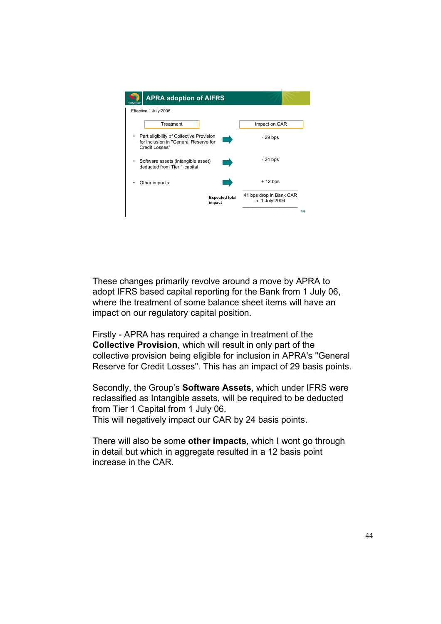

These changes primarily revolve around a move by APRA to adopt IFRS based capital reporting for the Bank from 1 July 06, where the treatment of some balance sheet items will have an impact on our regulatory capital position.

Firstly - APRA has required a change in treatment of the **Collective Provision**, which will result in only part of the collective provision being eligible for inclusion in APRA's "General Reserve for Credit Losses". This has an impact of 29 basis points.

Secondly, the Group's **Software Assets**, which under IFRS were reclassified as Intangible assets, will be required to be deducted from Tier 1 Capital from 1 July 06. This will negatively impact our CAR by 24 basis points.

There will also be some **other impacts**, which I wont go through in detail but which in aggregate resulted in a 12 basis point increase in the CAR.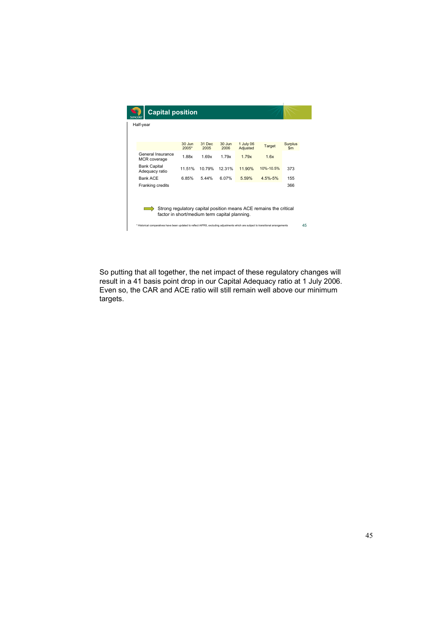| <b>Capital position</b><br>GINCORE                                                                                                 |                     |                |                  |                       |               |                      |    |  |
|------------------------------------------------------------------------------------------------------------------------------------|---------------------|----------------|------------------|-----------------------|---------------|----------------------|----|--|
| Half-year                                                                                                                          |                     |                |                  |                       |               |                      |    |  |
|                                                                                                                                    |                     |                |                  |                       |               |                      |    |  |
|                                                                                                                                    | $30$ Jun<br>$2005*$ | 31 Dec<br>2005 | $30$ Jun<br>2006 | 1 July 06<br>Adjusted | <b>Target</b> | <b>Surplus</b><br>Sm |    |  |
| General Insurance<br>MCR coverage                                                                                                  | 1.88x               | 1.69x          | 1 79x            | 179x                  | 1.6x          |                      |    |  |
| <b>Bank Capital</b><br>Adequacy ratio                                                                                              | 11.51%              | 10.79%         | 12.31%           | 11.90%                | 10%-10.5%     | 373                  |    |  |
| Bank ACE                                                                                                                           | 6.85%               | 5.44%          | 6.07%            | 5.59%                 | $4.5\% - 5\%$ | 155                  |    |  |
| Franking credits                                                                                                                   |                     |                |                  |                       |               | 366                  |    |  |
| Strong regulatory capital position means ACE remains the critical<br>factor in short/medium term capital planning.                 |                     |                |                  |                       |               |                      |    |  |
| * Historical comparatives have been updated to reflect AIFRS, excluding adjustments which are subject to transitional arrangements |                     |                |                  |                       |               |                      | 45 |  |

So putting that all together, the net impact of these regulatory changes will result in a 41 basis point drop in our Capital Adequacy ratio at 1 July 2006. Even so, the CAR and ACE ratio will still remain well above our minimum targets.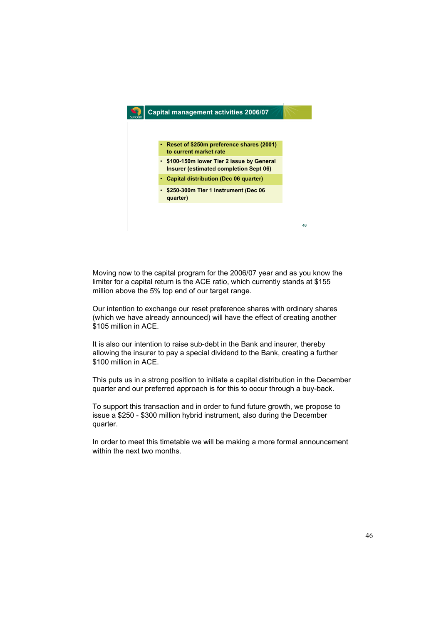

Moving now to the capital program for the 2006/07 year and as you know the limiter for a capital return is the ACE ratio, which currently stands at \$155 million above the 5% top end of our target range.

Our intention to exchange our reset preference shares with ordinary shares (which we have already announced) will have the effect of creating another \$105 million in ACF

It is also our intention to raise sub-debt in the Bank and insurer, thereby allowing the insurer to pay a special dividend to the Bank, creating a further \$100 million in ACE.

This puts us in a strong position to initiate a capital distribution in the December quarter and our preferred approach is for this to occur through a buy-back.

To support this transaction and in order to fund future growth, we propose to issue a \$250 - \$300 million hybrid instrument, also during the December quarter.

In order to meet this timetable we will be making a more formal announcement within the next two months.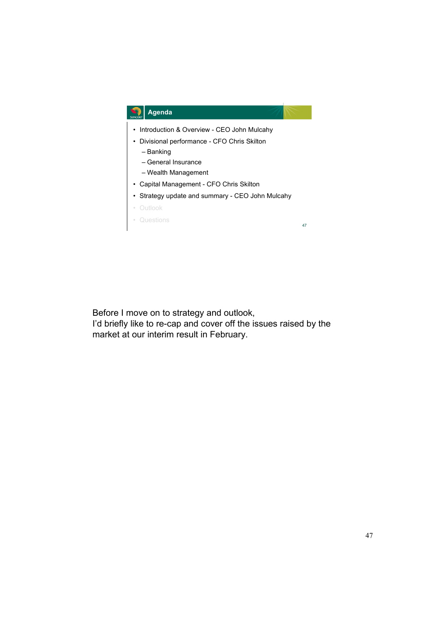

Before I move on to strategy and outlook, I'd briefly like to re-cap and cover off the issues raised by the market at our interim result in February.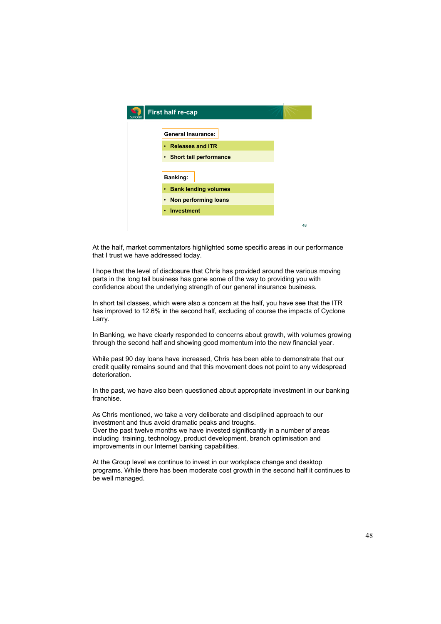| <b>First half re-cap</b>                                                            |    |
|-------------------------------------------------------------------------------------|----|
| <b>General Insurance:</b><br>• Releases and ITR<br>• Short tail performance         |    |
| <b>Banking:</b><br>• Bank lending volumes<br>• Non performing loans<br>• Investment |    |
|                                                                                     | 48 |

At the half, market commentators highlighted some specific areas in our performance that I trust we have addressed today.

I hope that the level of disclosure that Chris has provided around the various moving parts in the long tail business has gone some of the way to providing you with confidence about the underlying strength of our general insurance business.

In short tail classes, which were also a concern at the half, you have see that the ITR has improved to 12.6% in the second half, excluding of course the impacts of Cyclone Larry.

In Banking, we have clearly responded to concerns about growth, with volumes growing through the second half and showing good momentum into the new financial year.

While past 90 day loans have increased, Chris has been able to demonstrate that our credit quality remains sound and that this movement does not point to any widespread deterioration.

In the past, we have also been questioned about appropriate investment in our banking franchise.

As Chris mentioned, we take a very deliberate and disciplined approach to our investment and thus avoid dramatic peaks and troughs. Over the past twelve months we have invested significantly in a number of areas including training, technology, product development, branch optimisation and improvements in our Internet banking capabilities.

At the Group level we continue to invest in our workplace change and desktop programs. While there has been moderate cost growth in the second half it continues to be well managed.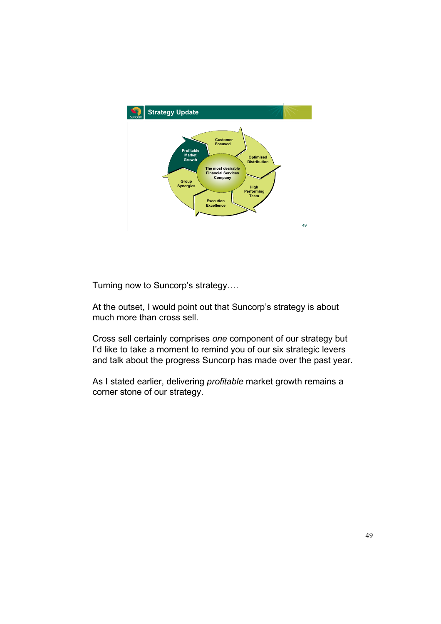

Turning now to Suncorp's strategy….

At the outset, I would point out that Suncorp's strategy is about much more than cross sell.

Cross sell certainly comprises *one* component of our strategy but I'd like to take a moment to remind you of our six strategic levers and talk about the progress Suncorp has made over the past year.

As I stated earlier, delivering *profitable* market growth remains a corner stone of our strategy.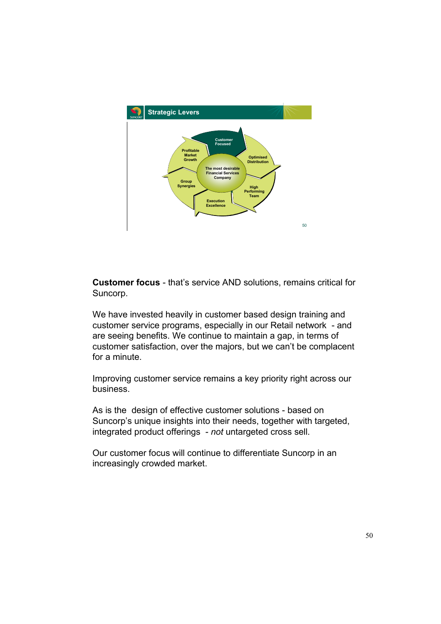

**Customer focus** - that's service AND solutions, remains critical for Suncorp.

We have invested heavily in customer based design training and customer service programs, especially in our Retail network - and are seeing benefits. We continue to maintain a gap, in terms of customer satisfaction, over the majors, but we can't be complacent for a minute.

Improving customer service remains a key priority right across our business.

As is the design of effective customer solutions - based on Suncorp's unique insights into their needs, together with targeted, integrated product offerings - *not* untargeted cross sell.

Our customer focus will continue to differentiate Suncorp in an increasingly crowded market.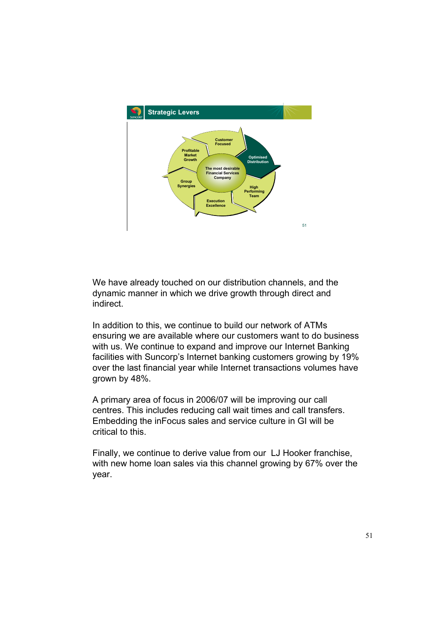

We have already touched on our distribution channels, and the dynamic manner in which we drive growth through direct and indirect.

In addition to this, we continue to build our network of ATMs ensuring we are available where our customers want to do business with us. We continue to expand and improve our Internet Banking facilities with Suncorp's Internet banking customers growing by 19% over the last financial year while Internet transactions volumes have grown by 48%.

A primary area of focus in 2006/07 will be improving our call centres. This includes reducing call wait times and call transfers. Embedding the inFocus sales and service culture in GI will be critical to this.

Finally, we continue to derive value from our LJ Hooker franchise, with new home loan sales via this channel growing by 67% over the year.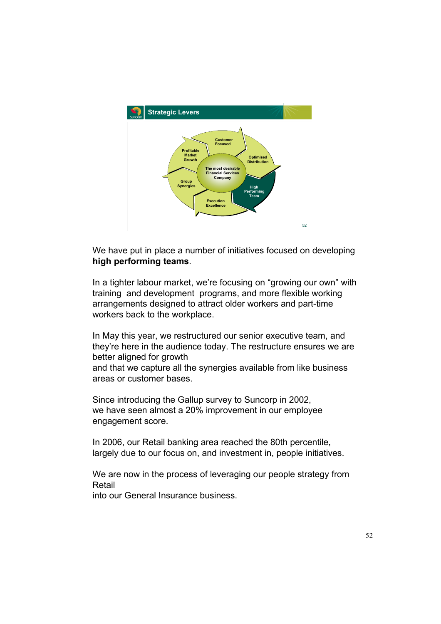

We have put in place a number of initiatives focused on developing **high performing teams**.

In a tighter labour market, we're focusing on "growing our own" with training and development programs, and more flexible working arrangements designed to attract older workers and part-time workers back to the workplace.

In May this year, we restructured our senior executive team, and they're here in the audience today. The restructure ensures we are better aligned for growth and that we capture all the synergies available from like business areas or customer bases.

Since introducing the Gallup survey to Suncorp in 2002, we have seen almost a 20% improvement in our employee engagement score.

In 2006, our Retail banking area reached the 80th percentile, largely due to our focus on, and investment in, people initiatives.

We are now in the process of leveraging our people strategy from Retail

into our General Insurance business.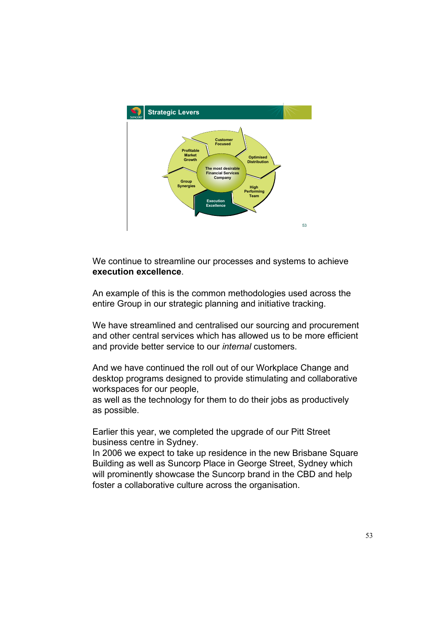

We continue to streamline our processes and systems to achieve **execution excellence**.

An example of this is the common methodologies used across the entire Group in our strategic planning and initiative tracking.

We have streamlined and centralised our sourcing and procurement and other central services which has allowed us to be more efficient and provide better service to our *internal* customers.

And we have continued the roll out of our Workplace Change and desktop programs designed to provide stimulating and collaborative workspaces for our people,

as well as the technology for them to do their jobs as productively as possible.

Earlier this year, we completed the upgrade of our Pitt Street business centre in Sydney.

In 2006 we expect to take up residence in the new Brisbane Square Building as well as Suncorp Place in George Street, Sydney which will prominently showcase the Suncorp brand in the CBD and help foster a collaborative culture across the organisation.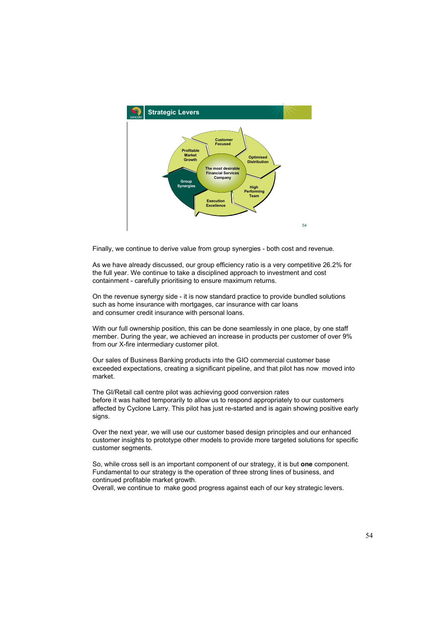

Finally, we continue to derive value from group synergies - both cost and revenue.

As we have already discussed, our group efficiency ratio is a very competitive 26.2% for the full year. We continue to take a disciplined approach to investment and cost containment - carefully prioritising to ensure maximum returns.

On the revenue synergy side - it is now standard practice to provide bundled solutions such as home insurance with mortgages, car insurance with car loans and consumer credit insurance with personal loans.

With our full ownership position, this can be done seamlessly in one place, by one staff member. During the year, we achieved an increase in products per customer of over 9% from our X-fire intermediary customer pilot.

Our sales of Business Banking products into the GIO commercial customer base exceeded expectations, creating a significant pipeline, and that pilot has now moved into market.

The GI/Retail call centre pilot was achieving good conversion rates before it was halted temporarily to allow us to respond appropriately to our customers affected by Cyclone Larry. This pilot has just re-started and is again showing positive early signs.

Over the next year, we will use our customer based design principles and our enhanced customer insights to prototype other models to provide more targeted solutions for specific customer segments.

So, while cross sell is an important component of our strategy, it is but **one** component. Fundamental to our strategy is the operation of three strong lines of business, and continued profitable market growth.

Overall, we continue to make good progress against each of our key strategic levers.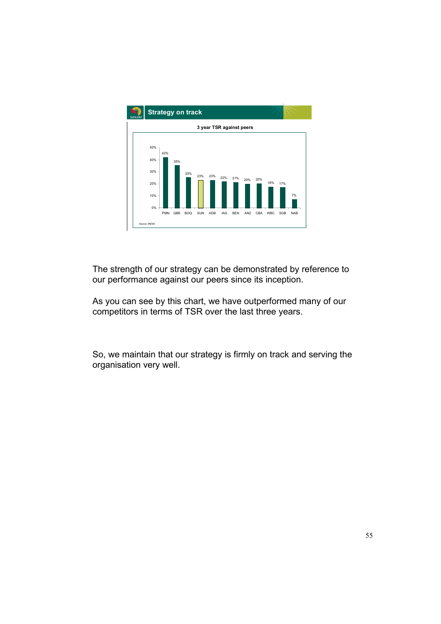

The strength of our strategy can be demonstrated by reference to our performance against our peers since its inception.

As you can see by this chart, we have outperformed many of our competitors in terms of TSR over the last three years.

So, we maintain that our strategy is firmly on track and serving the organisation very well.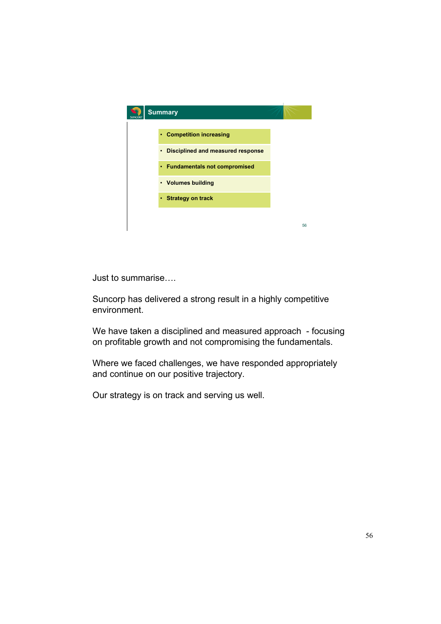

Just to summarise….

Suncorp has delivered a strong result in a highly competitive environment.

We have taken a disciplined and measured approach - focusing on profitable growth and not compromising the fundamentals.

Where we faced challenges, we have responded appropriately and continue on our positive trajectory.

Our strategy is on track and serving us well.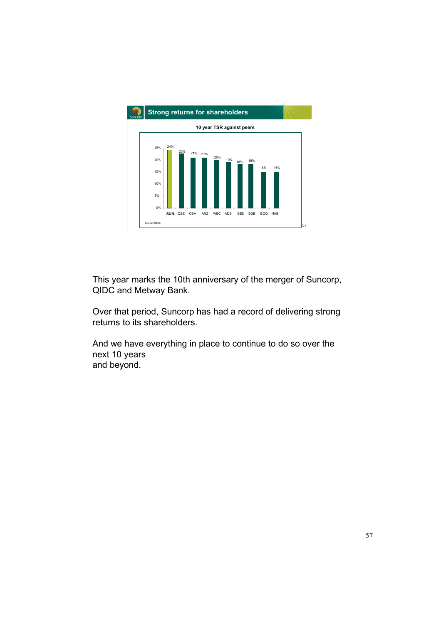

This year marks the 10th anniversary of the merger of Suncorp, QIDC and Metway Bank.

Over that period, Suncorp has had a record of delivering strong returns to its shareholders.

And we have everything in place to continue to do so over the next 10 years and beyond.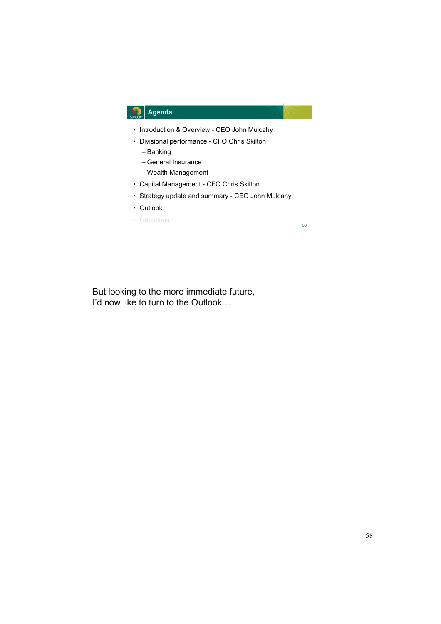

But looking to the more immediate future, I'd now like to turn to the Outlook…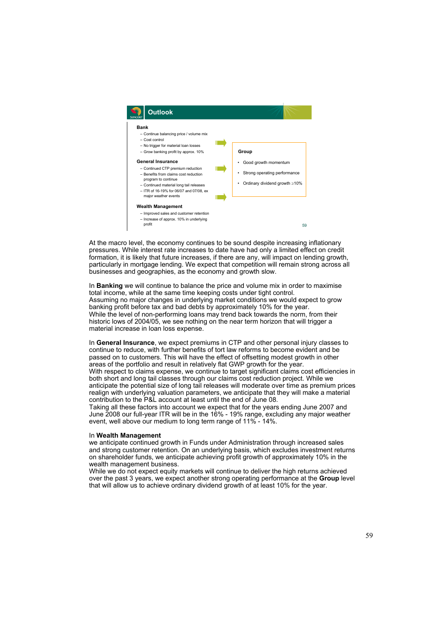

At the macro level, the economy continues to be sound despite increasing inflationary pressures. While interest rate increases to date have had only a limited effect on credit formation, it is likely that future increases, if there are any, will impact on lending growth, particularly in mortgage lending. We expect that competition will remain strong across all businesses and geographies, as the economy and growth slow.

In **Banking** we will continue to balance the price and volume mix in order to maximise total income, while at the same time keeping costs under tight control. Assuming no major changes in underlying market conditions we would expect to grow banking profit before tax and bad debts by approximately 10% for the year. While the level of non-performing loans may trend back towards the norm, from their historic lows of 2004/05, we see nothing on the near term horizon that will trigger a material increase in loan loss expense.

In **General Insurance**, we expect premiums in CTP and other personal injury classes to continue to reduce, with further benefits of tort law reforms to become evident and be passed on to customers. This will have the effect of offsetting modest growth in other areas of the portfolio and result in relatively flat GWP growth for the year. With respect to claims expense, we continue to target significant claims cost efficiencies in both short and long tail classes through our claims cost reduction project. While we anticipate the potential size of long tail releases will moderate over time as premium prices realign with underlying valuation parameters, we anticipate that they will make a material

contribution to the P&L account at least until the end of June 08. Taking all these factors into account we expect that for the years ending June 2007 and June 2008 our full-year ITR will be in the 16% - 19% range, excluding any major weather

event, well above our medium to long term range of 11% - 14%.

## In **Wealth Management**

we anticipate continued growth in Funds under Administration through increased sales and strong customer retention. On an underlying basis, which excludes investment returns on shareholder funds, we anticipate achieving profit growth of approximately 10% in the wealth management business.

While we do not expect equity markets will continue to deliver the high returns achieved over the past 3 years, we expect another strong operating performance at the **Group** level that will allow us to achieve ordinary dividend growth of at least 10% for the year.